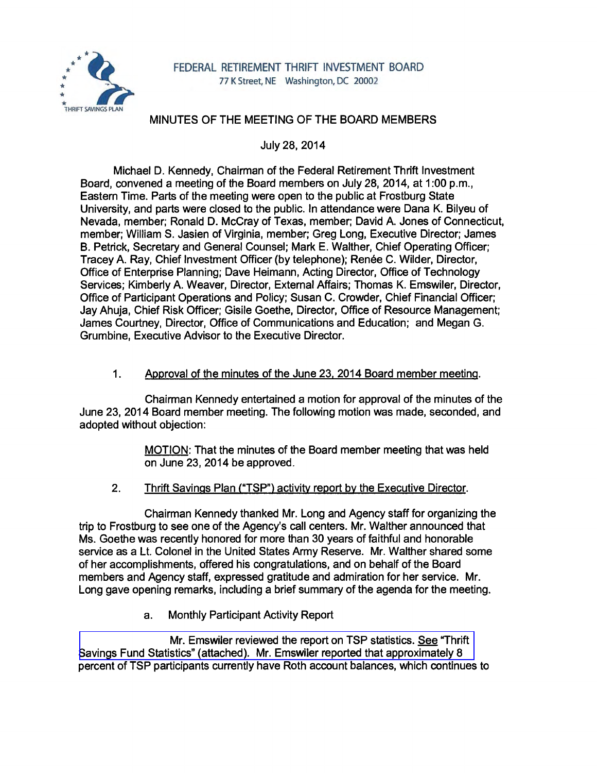

### MINUTES OF THE MEETING OF THE BOARD MEMBERS

July 28, 2014

Michael D. Kennedy, Chairman of the Federal Retirement Thrift Investment Board, convened a meeting of the Board members on July 28, 2014, at 1 :00 p.m., Eastern Time. Parts of the meeting were open to the public at Frostburg State University, and parts were closed to the public. In attendance were Dana K. Bilyeu of Nevada, member; Ronald D. McCray of Texas, member; David A. Jones of Connecticut, member; William S. Jasien of Virginia, member; Greg Long, Executive Director; James B. Petrick, Secretary and General Counsel; Mark E. Walther, Chief Operating Officer; Tracey A. Ray, Chief Investment Officer (by telephone); Renée C. Wilder, Director, Office of Enterprise Planning; Dave Heimann, Acting Director, Office of Technology Services; Kimberly A. Weaver, Director, External Affairs; Thomas K. Emswiler, Director, Office of Participant Operations and Policy; Susan C. Crowder, Chief Financial Officer; Jay Ahuja, Chief Risk Officer; Gisile Goethe, Director, Office of Resource Management; James Courtney, Director, Office of Communications and Education; and Megan G. Grumbine, Executive Advisor to the Executive Director.

### 1. Approval of the minutes of the June 23. 2014 Board member meeting.

Chairman Kennedy entertained a motion for approval of the minutes of the June 23, 2014 Board member meeting. The following motion was made, seconded, and adopted without objection:

> MOTION: That the minutes of the Board member meeting that was held on June 23, 2014 be approved.

### 2. Thrift Savings Plan ("TSP") activity report by the Executive Director.

Chairman Kennedy thanked Mr. Long and Agency staff for organizing the trip to Frostburg to see one of the Agency's call centers. Mr. Walther announced that Ms. Goethe was recently honored for more than 30 years of faithful and honorable service as a Lt. Colonel in the United States Army Reserve. Mr. Walther shared some of her accomplishments, offered his congratulations, and on behalf of the Board members and Agency staff, expressed gratitude and admiration for her service. Mr. Long gave opening remarks, including a brief summary of the agenda for the meeting.

a. Monthly Participant Activity Report

Mr. Emswiler reviewed the report on TSP statistics. See "Thrift [Savings Fund Statistics" \(attached\). Mr. Emswiler reported that approximately 8](http://www.frtib.gov/pdf/minutes/MM-2014Jul-Att1.pdf)  percent of TSP participants currently have Roth account balances, which continues to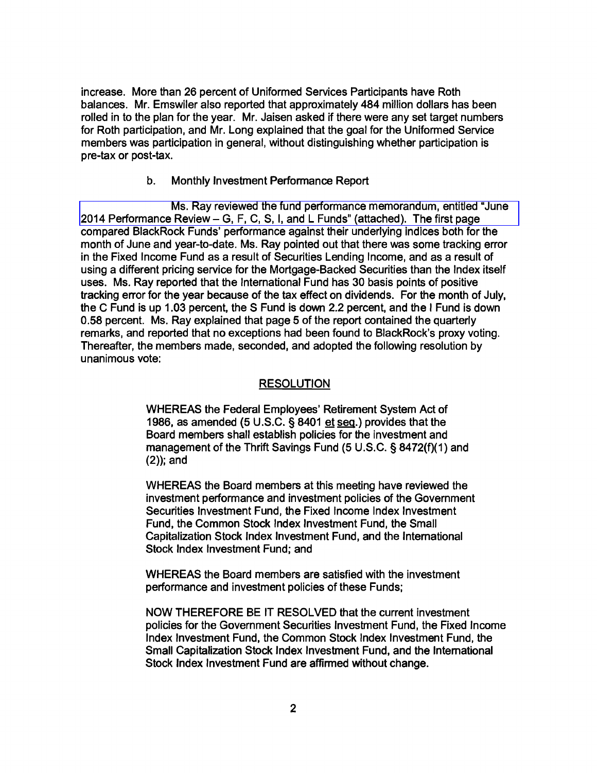increase. More than 26 percent of Uniformed Services Participants have Roth balances. Mr. Emswiler also reported that approximately 484 million dollars has been rolled in to the plan for the year. Mr. Jaisen asked if there were any set target numbers for Roth participation, and Mr. Long explained that the goal for the Uniformed Service members was participation in general, without distinguishing whether participation is pre-tax or post-tax.

#### b. Monthly Investment Performance Report

[Ms. Ray reviewed the fund performance memorandum, entitled "June](http://www.frtib.gov/pdf/minutes/MM-2014Jul-Att2.pdf)  2014 Performance Review- G, F, C, S, I, and L Funds" (attached). The first page compared BlackRock Funds' performance against their underlying indices both for the month of June and year-to-date. Ms. Ray pointed out that there was some tracking error in the Fixed Income Fund as a result of Securities Lending Income, and as a result of using a different pricing service for the Mortgage-Backed Securities than the Index itself uses. Ms. Ray reported that the International Fund has 30 basis points of positive tracking error for the year because of the tax effect on dividends. For the month of July, the C Fund is up 1.03 percent, the S Fund is down 2.2 percent, and the I Fund is down 0.58 percent. Ms. Ray explained that page 5 of the report contained the quarterly remarks, and reported that no exceptions had been found to BlackRock's proxy voting. Thereafter, the members made, seconded, and adopted the following resolution by unanimous vote:

#### RESOLUTION

WHEREAS the Federal Employees' Retirement System Act of 1986, as amended (5 U.S.C. § 8401 et seq.) provides that the Board members shall establish policies for the investment and management of the Thrift Savings Fund (5 U.S.C. § 8472(f)(1) and (2)); and

WHEREAS the Board members at this meeting have reviewed the investment performance and investment policies of the Government Securities Investment Fund, the Fixed Income Index Investment Fund, the Common Stock Index Investment Fund, the Small Capitalization Stock Index Investment Fund, and the International Stock Index Investment Fund; and

WHEREAS the Board members are satisfied with the investment performance and investment policies of these Funds;

NOW THEREFORE BE IT RESOLVED that the current investment policies for the Government Securities Investment Fund, the Fixed Income Index Investment Fund, the Common Stock Index Investment Fund, the Small Capitalization Stock Index Investment Fund, and the International Stock Index Investment Fund are affirmed without change.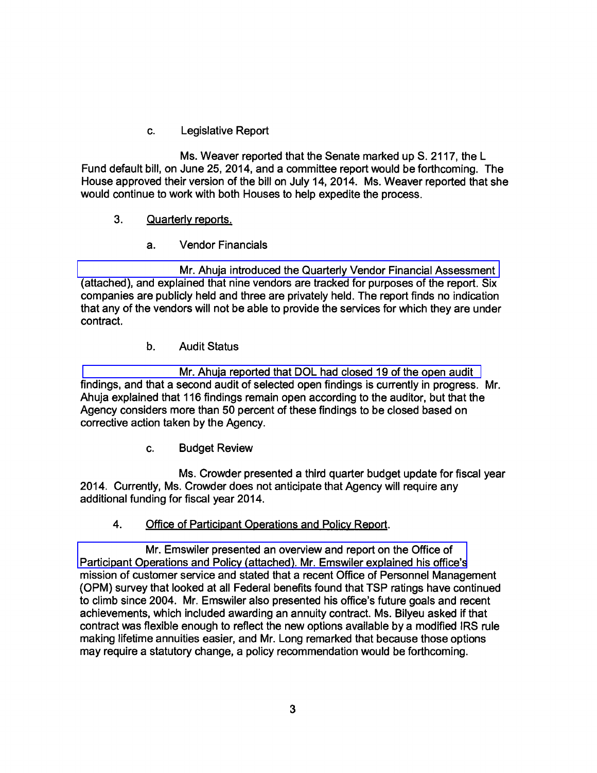### c. Legislative Report

Ms. Weaver reported that the Senate marked up S. 2117, the L Fund default bill, on June 25, 2014, and a committee report would be forthcoming. The House approved their version of the bill on July 14, 2014. Ms. Weaver reported that she would continue to work with both Houses to help expedite the process.

## 3. Quarterly reports.

a. Vendor Financials

[Mr. Ahuja introduced the Quarterly Vendor Financial Assessment](http://www.frtib.gov/pdf/minutes/MM-2014Jul-Att3.pdf)  (attached), and explained that nine vendors are tracked for purposes of the report. Six companies are publicly held and three are privately held. The report finds no indication that any of the vendors will not be able to provide the services for which they are under contract.

# b. Audit Status

[Mr. Ahuja reported that DOL had closed 19 of the open audit](http://www.frtib.gov/pdf/minutes/MM-2014Jul-Att4.pdf)  findings, and that a second audit of selected open findings is currently in progress. Mr. Ahuja explained that 116 findings remain open according to the auditor, but that the Agency considers more than 50 percent of these findings to be closed based on corrective action taken by the Agency.

### c. Budget Review

Ms. Crowder presented a third quarter budget update for fiscal year 2014. Currently, Ms. Crowder does not anticipate that Agency will require any additional funding for fiscal year 2014.

### 4. Office of Participant Operations and Policy Report.

Mr. Emswiler presented an overview and report on the Office of [Participant Operations and Policy \(attached\). Mr. Emswiler explained his office's](http://www.frtib.gov/pdf/minutes/MM-2014Jul-Att5.pdf)  mission of customer service and stated that a recent Office of Personnel Management (OPM) survey that looked at all Federal benefits found that TSP ratings have continued to climb since 2004. Mr. Emswiler also presented his office's future goals and recent achievements, which included awarding an annuity contract. Ms. Bilyeu asked if that contract was flexible enough to reflect the new options available by a modified IRS rule making lifetime annuities easier, and Mr. Long remarked that because those options may require a statutory change, a policy recommendation would be forthcoming.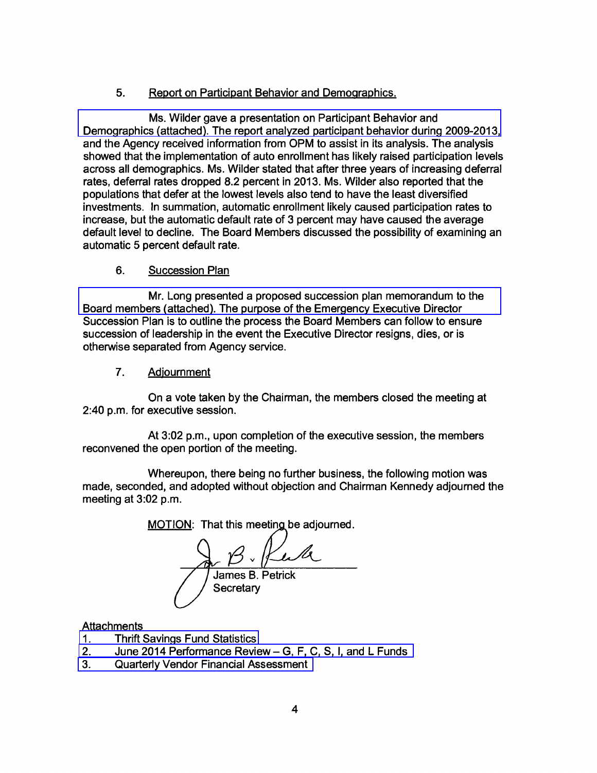### 5. Report on Participant Behavior and Demographics.

Ms. Wilder gave a presentation on Participant Behavior and [Demographics \(attached\). The report analyzed participant behavior during](http://www.frtib.gov/pdf/minutes/MM-2014Jul-Att6.pdf) 2009-2013, and the Agency received information from OPM to assist in its analysis. The analysis showed that the implementation of auto enrollment has likely raised participation levels across all demographics. Ms. Wilder stated that after three years of increasing deferral rates, deferral rates dropped 8.2 percent in 2013. Ms. Wilder also reported that the populations that defer at the lowest levels also tend to have the least diversified investments. In summation, automatic enrollment likely caused participation rates to increase, but the automatic default rate of 3 percent may have caused the average default level to decline. The Board Members discussed the possibility of examining an automatic 5 percent default rate.

### 6. Succession Plan

Mr. Long presented a proposed succession plan memorandum to the [Board members \(attached\). The purpose of the Emergency Executive Director](http://www.frtib.gov/pdf/minutes/MM-2014Jul-Att7.pdf)  Succession Plan is to outline the process the Board Members can follow to ensure succession of leadership in the event the Executive Director resigns, dies, or is otherwise separated from Agency service.

7. Adjournment

On a vote taken by the Chairman, the members closed the meeting at 2:40 p.m. for executive session.

At 3:02 p.m., upon completion of the executive session, the members reconvened the open portion of the meeting.

Whereupon, there being no further business, the following motion was made, seconded, and adopted without objection and Chairman Kennedy adjourned the meeting at 3:02 p.m.

MOTION: That this meeting be adjourned.

James B. Petrick **Secretary** 

### **Attachments**

- [1. Thrift Savings Fund Statistics](http://www.frtib.gov/pdf/minutes/MM-2014Jul-Att1.pdf)
- 2. June 2014 [Performance Review-G, F, C, S, I, and L Funds](http://www.frtib.gov/pdf/minutes/MM-2014Jul-Att2.pdf)
- [3. Quarterly Vendor Financial Assessment](http://www.frtib.gov/pdf/minutes/MM-2014Jul-Att3.pdf)